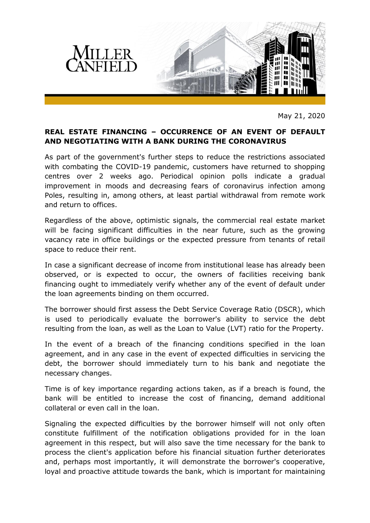

May 21, 2020

## **REAL ESTATE FINANCING – OCCURRENCE OF AN EVENT OF DEFAULT AND NEGOTIATING WITH A BANK DURING THE CORONAVIRUS**

As part of the government's further steps to reduce the restrictions associated with combating the COVID-19 pandemic, customers have returned to shopping centres over 2 weeks ago. Periodical opinion polls indicate a gradual improvement in moods and decreasing fears of coronavirus infection among Poles, resulting in, among others, at least partial withdrawal from remote work and return to offices.

Regardless of the above, optimistic signals, the commercial real estate market will be facing significant difficulties in the near future, such as the growing vacancy rate in office buildings or the expected pressure from tenants of retail space to reduce their rent.

In case a significant decrease of income from institutional lease has already been observed, or is expected to occur, the owners of facilities receiving bank financing ought to immediately verify whether any of the event of default under the loan agreements binding on them occurred.

The borrower should first assess the Debt Service Coverage Ratio (DSCR), which is used to periodically evaluate the borrower's ability to service the debt resulting from the loan, as well as the Loan to Value (LVT) ratio for the Property.

In the event of a breach of the financing conditions specified in the loan agreement, and in any case in the event of expected difficulties in servicing the debt, the borrower should immediately turn to his bank and negotiate the necessary changes.

Time is of key importance regarding actions taken, as if a breach is found, the bank will be entitled to increase the cost of financing, demand additional collateral or even call in the loan.

Signaling the expected difficulties by the borrower himself will not only often constitute fulfillment of the notification obligations provided for in the loan agreement in this respect, but will also save the time necessary for the bank to process the client's application before his financial situation further deteriorates and, perhaps most importantly, it will demonstrate the borrower's cooperative, loyal and proactive attitude towards the bank, which is important for maintaining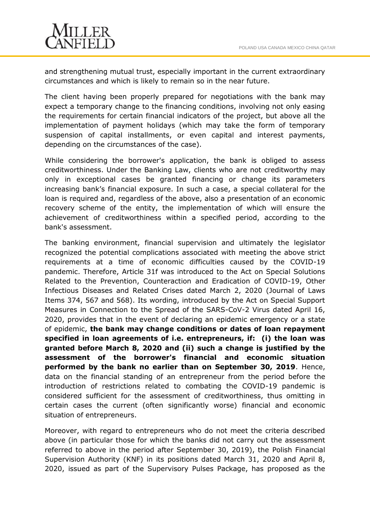

and strengthening mutual trust, especially important in the current extraordinary circumstances and which is likely to remain so in the near future.

The client having been properly prepared for negotiations with the bank may expect a temporary change to the financing conditions, involving not only easing the requirements for certain financial indicators of the project, but above all the implementation of payment holidays (which may take the form of temporary suspension of capital installments, or even capital and interest payments, depending on the circumstances of the case).

While considering the borrower's application, the bank is obliged to assess creditworthiness. Under the Banking Law, clients who are not creditworthy may only in exceptional cases be granted financing or change its parameters increasing bank's financial exposure. In such a case, a special collateral for the loan is required and, regardless of the above, also a presentation of an economic recovery scheme of the entity, the implementation of which will ensure the achievement of creditworthiness within a specified period, according to the bank's assessment.

The banking environment, financial supervision and ultimately the legislator recognized the potential complications associated with meeting the above strict requirements at a time of economic difficulties caused by the COVID-19 pandemic. Therefore, Article 31f was introduced to the Act on Special Solutions Related to the Prevention, Counteraction and Eradication of COVID-19, Other Infectious Diseases and Related Crises dated March 2, 2020 (Journal of Laws Items 374, 567 and 568). Its wording, introduced by the Act on Special Support Measures in Connection to the Spread of the SARS-CoV-2 Virus dated April 16, 2020, provides that in the event of declaring an epidemic emergency or a state of epidemic, **the bank may change conditions or dates of loan repayment specified in loan agreements of i.e. entrepreneurs, if: (i) the loan was granted before March 8, 2020 and (ii) such a change is justified by the assessment of the borrower's financial and economic situation performed by the bank no earlier than on September 30, 2019**. Hence, data on the financial standing of an entrepreneur from the period before the introduction of restrictions related to combating the COVID-19 pandemic is considered sufficient for the assessment of creditworthiness, thus omitting in certain cases the current (often significantly worse) financial and economic situation of entrepreneurs.

Moreover, with regard to entrepreneurs who do not meet the criteria described above (in particular those for which the banks did not carry out the assessment referred to above in the period after September 30, 2019), the Polish Financial Supervision Authority (KNF) in its positions dated March 31, 2020 and April 8, 2020, issued as part of the Supervisory Pulses Package, has proposed as the